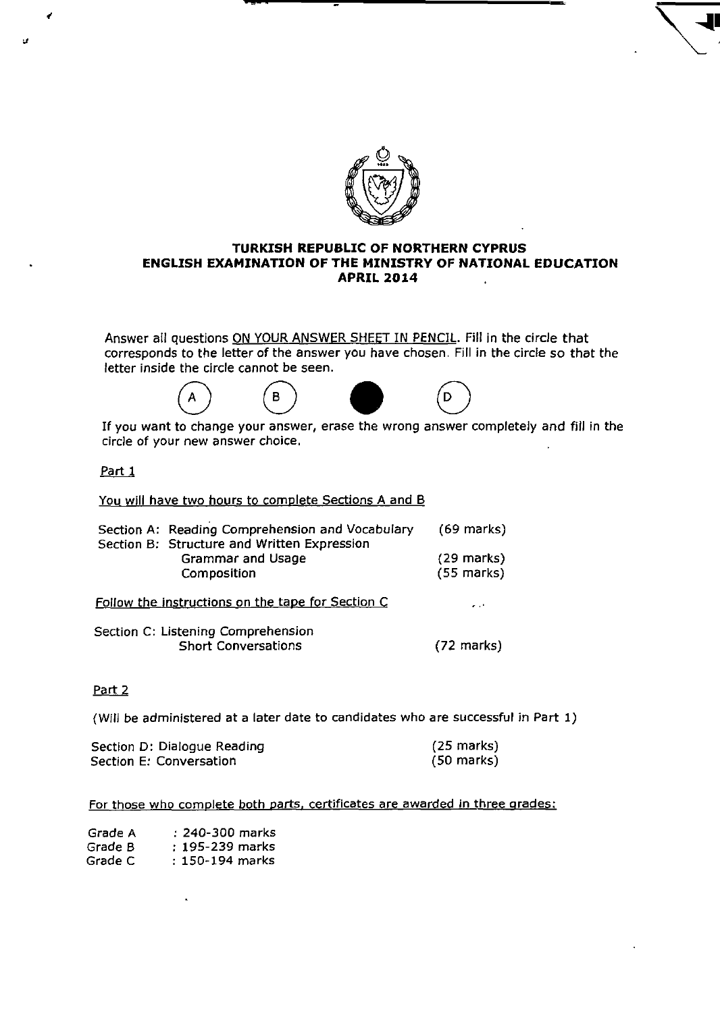

#### **TURKISH REPUBLIC OF NORTHERN CYPRUS ENGLISH EXAMINATION OF THE MINISTRY OF NAT**İ**ONAL EDUCAT**İ**ON APRIL 2014**

Answer all questions ON YOUR ANSWER SHEET IN PENCIL. Fill in the circle that corresponds to the letter of the answer you have chosen. Fill in the circle so that the Ietter inside the cirde cannot be seen. WELIC OF NORTHERN CYPE<br>
WER SHEET IN PENCIL. Fill in the MINISTRY OF NATIO<br>
APRIL 2014<br>
WER SHEET IN PENCIL. Fill in the veryou have chosen. Fill in the min.<br>
erase the wrong answer comp



If you want to change your answer, erase the wrong answer completely and fill in the circle of your new answer choice.

#### Part 1

**1** 

You will have two hours to complete Sections A and B

| Section A: Reading Comprehension and Vocabulary | (69 marks)                                        |                               |
|-------------------------------------------------|---------------------------------------------------|-------------------------------|
|                                                 | Section B: Structure and Written Expression       |                               |
|                                                 | Grammar and Usage                                 | $(29$ marks)                  |
|                                                 | Composition                                       | $(55$ marks)                  |
|                                                 |                                                   |                               |
|                                                 | Follow the instructions on the tape for Section C | $\mathbf{z} \in \mathbb{R}^n$ |

(72 marks) Section C: Listening Comprehension Short Conversations

#### Part 2

(Will be administered at a later date to candidates who are successful in Part 1)

| Section D: Dialogue Reading | $(25 \text{ marks})$ |
|-----------------------------|----------------------|
| Section E: Conversation     | $(50 \text{ marks})$ |

#### For those who comolete both parts, certificates are awarded in three prades:

| Grade A | : 240-300 marks |
|---------|-----------------|
| Grade B | : 195-239 marks |
| Grade C | : 150-194 marks |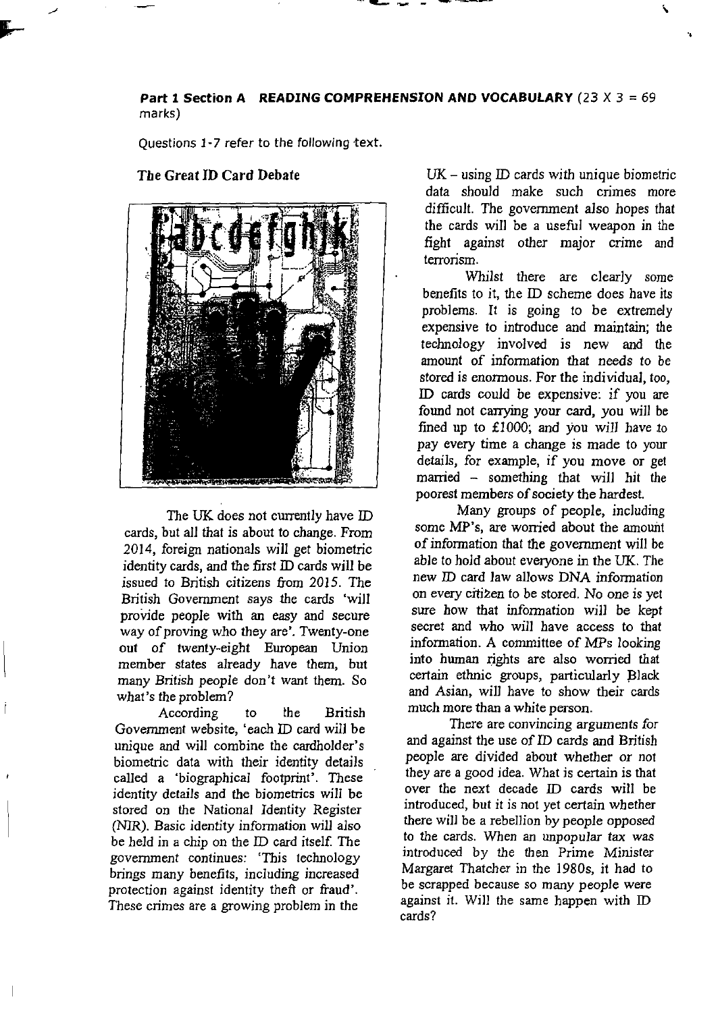#### **Part 1 Section A READING COMPREHENSION AND VOCABULARY (23 X 3 = 69)** marks)

Questions 1-7 refer to the following text.



The Great ID Card Debate

-J

The UK does not currently have ID cards, but all that is about to change. From 2014, foreign nationais wiil get biometric identity cards, and the first ID cards wiil be issued to British citizens from 2015. The British Govemment says the cards 'wiil pro'ide people with an easy and secure way of proving who they are'. Twenty-one out of twenty-eight European Union member states already have thern, but inany British people don **'t** want thern. So what's the problem?

According to the British Govemment website, 'each ID card wiil be unique and wili combine the cardhoider's biometric data with their identity details called a 'biographicai footprint'. These identity details and the biometrics wiil be stored on the National Identity Register (NIR). Basic identity information will also be heid in a chip on the ID card itseif. The govermnent continues: 'This technology brings many benefits, including increased protection against identity theft or fraud'. These erimes are a growing problem in the

 $UK - using ID$  cards with unique biometric data should make such crimes more difficult. The government also hopes that the cards wil] be a useful weapon in the fight against other major crime and terrorism.

Whilst there are clearly some benefıts to it, the ID scheme does have its probiems. it is going to be extremely expensive to introduce and maintain; the technoiogy involved is new and the amount of information that needs to be stored is enormous. For the individual, too, ID cards could be expensive: if you are foımd not carrying your card, you wiil be fined up to  $£1000$ ; and you will have to pay every time a change is made to your details, for example, if you move or get married - something that wiil bit the poorest members of society the hardest.

Many groups of people, including some MP's, are worried about the amount of information that the governrnent wili be able to hold about everyone in the UK. The new ID card law allows DNA information on every citizen to be stored. No one is yet sure how that information will be kept secret and who wiil have access to that information. A committee of MPs looking into human rights are also woıried that certain ethnic groups, particulariy Black and Aslan, wili have to show their cards much more than a white person.

There are convincing arguments for and against the use of ID cards and British people are divided about whether or not they are a good idea. What is certain is that over the next decade D cards wili be introduced, but it is not yet certain whether there wil] be a rebellion by people opposed to the cards. When an unpopular tax was introduced by the then Prime Minister Margaret Thatcher in the 1980s, it had to be scrapped because so many people were against it. Wil] the same happen with ID cards?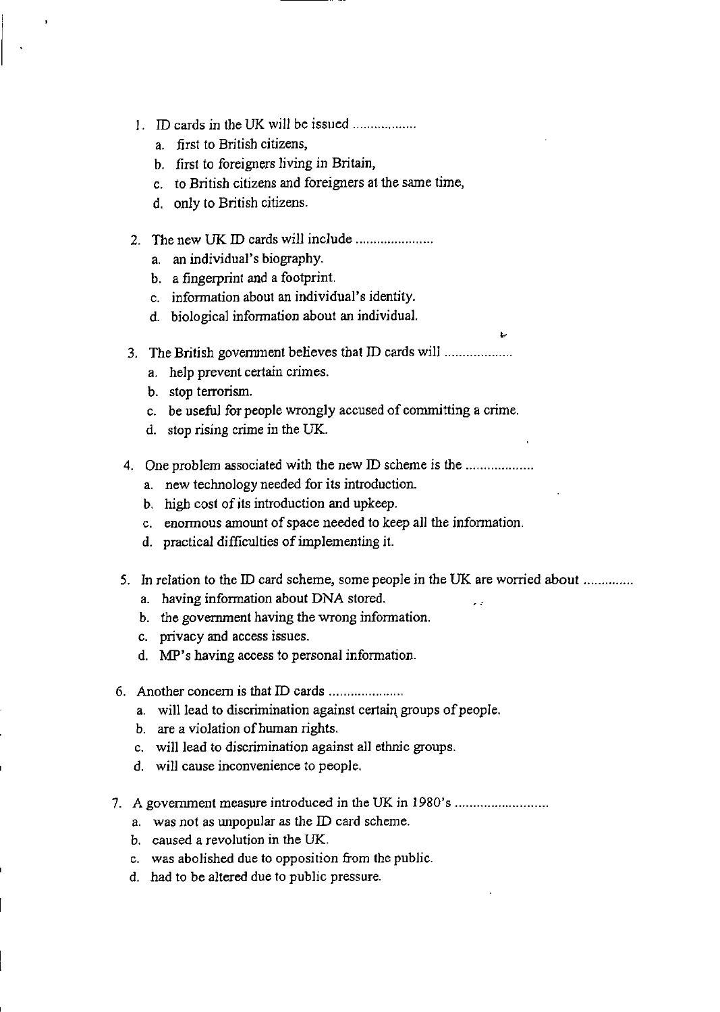- 1. ID cards in the 13K will be issued
	- a. first to British citizens,
	- b. first to foreigners living in Britain,
	- c. to British citizens and foreigners al the same time,
	- d. oniy to British citizens.
- 2. The new UK ID cards wiil inelude
	- a. an individual's biography.
	- b. a fingerprint and a footprint.
	- c. information about an individual's identity.
	- d. biological information about an individual.
- 3. The British government believes that ID cards wili
	- a. help prevent certain crimes.
	- b. stop terrorism.
	- e. be usefül for people wrongly accused of committing a crime.
	- d. stop rising erime in the UK.
- 4. One problem associated with the *new* ID scheme is the
	- a. new technology needed for its introduction.
	- b. high cost of its introduction and upkeep.
	- e. enonnous aınount of space needed to keep ali the information.
	- d. practical diffıculties of implementing it.
- 5. In relation to the ID card scheme, some people in the UK are worried about ..............
	- a. having information about DNA stored.
	- b. the govemment having the wrong information.
	- c. privacy and access issues.
	- d. MP's having access to personal information.
- 6. Another concern is that ID cards .....................
	- a. will lead to discrimination against certain groups of people.
	- b. are a violation of human rights.
	- c. wili lead to discrimination against ali ethnic groups.
	- d. wili cause inconvenience to people.
- 7. A government measure introduced in the UK in 1980's ..........................
	- a. was not as unpopular as the D card scheme.
	- b. caused a revolution in the UK.
	- e. was abolished due to opposition from İhe public.
	- d. had to be altered due to public pressure.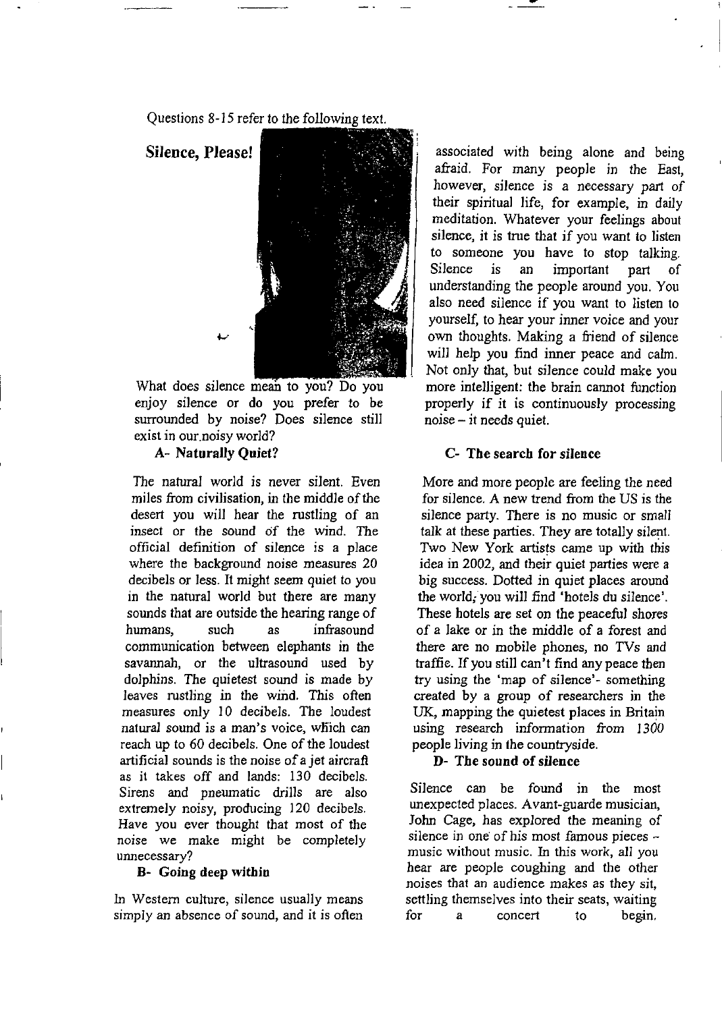Questions 8-15 refer to the following text.

**Silence, Please!** 



What does silence mean to you? Do you enjoy silence or do **you prefer to** be surrounded by noise? Does silence stili exist in our noisy world?

#### A- Naturaliy Quiet?

The natura1 world is never silent. Even miles from civilisation, in the middie of the desert you wili hear the rustling of an insect or the sound öf the wind. The official definition of silence is a place where the background noise measures 20 decibeis or less. İt might seem *quiet* to you in the natural world but there are many sounds that are outside the hearing range of humans, such as infrasound communication between eiephants in the savannah, or the ultrasound used by dolphins. The quietest sound is made by leaves rustling in the wind. This often measures only 10 decibels. The loudest natural sound is a man's voice, which can reach up to 60 decibeis. One of the loudest artificial sounds is the noise of a jet aircraft as it takes off and lands: 130 decibe]s. Sirens and pneumatic drilis are aiso exiremely noisy, producing 120 decibeis. Have you ever thought that most of the noise we make might be completeiy unnecessary?

#### B- Going decp witbin

in Western culture, silence usualiy means simply an absence of sound, and it is often

associated with being alone and being afraid. For many people in the East, however, sijence is a necessary part of their spiritual life, for exanıple, in daily meditation. Whatever your feelings about silence, it is true that if you want to listen **to someone you have to stop talking.**  Silence is an important part of understanding the people around you. You also need silence if you want to listen to yourself, to hear your inner voice and your own thoughts. Making a friend of silence will help you find inner peace and calm. Not oniy that, but silence could make you more intelligent: the brain cannot function properiy if it is continuously processing noise - it needs quiet.

#### C- The seareh for sijence

More and more **peopic** are feeiing the need for silence. *A* new trend **from** the US is the **sijence** party. There is no music or small taik at these parties. They are totally sileni. Two New York artists came **up** with tbis idea in 2002, and **their quiet** parties were a big success. Dotted in quiet places around the world; yon wiil find 'hotels du silence'. These hotels are set on the peaceful shores of a lake or in the middle of a forest and there are no mobile phones, no TVs and traffic. If you still can't find any peace then try using the 'map of silence'- something created by a group of researchers in the UK, mapping the quietest places in Britain using research information from *1300*  **people** *living* in the countryside.

#### **D- The sound of silence**

Silence can be found in the most unexpected places. Avant-guarde musician, John Cage, has explored the meaning of silence in one of his most famous pieces music without music. İn this work, ali you hear are people coughing and the other noises that an audience makes as they sit, settling themselves into their seats, waiting *for* a concert to begin.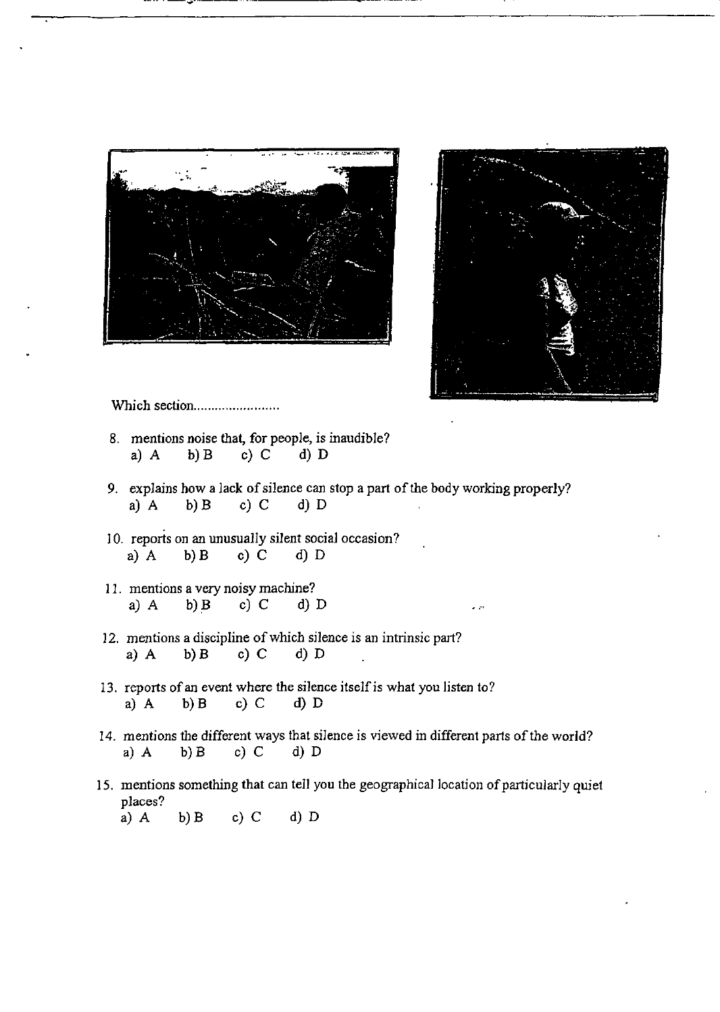



Which section

- 8. mentions noise that, for people, is inaudible?<br>
a) A b) B c) C d) D
- 9. explains how a lack of silence can stop a part of the body working properly?<br>a) A b) B c) C d) D
- 10. reports on an unusually silent social occasion?<br>
a) A b) B c) C d) D
- 11. mentions a very noisy machine?<br>
a) A b) B c) C d) D
- 12. mentions a discipline of which silence is an intrinsic part?<br>
a) A b) B c) C d) D
- 13. reports of an event where the silence itself is what you listen to?<br>
a) A b) B c) C d) D
- 14. mentions the different ways that silence is viewed in different parts of the world?<br>
a) A b) B c) C d) D
- 15. mentions something that can tell you the geographical location of particularly quiet places? places?<br>a) A b) B c) C d) D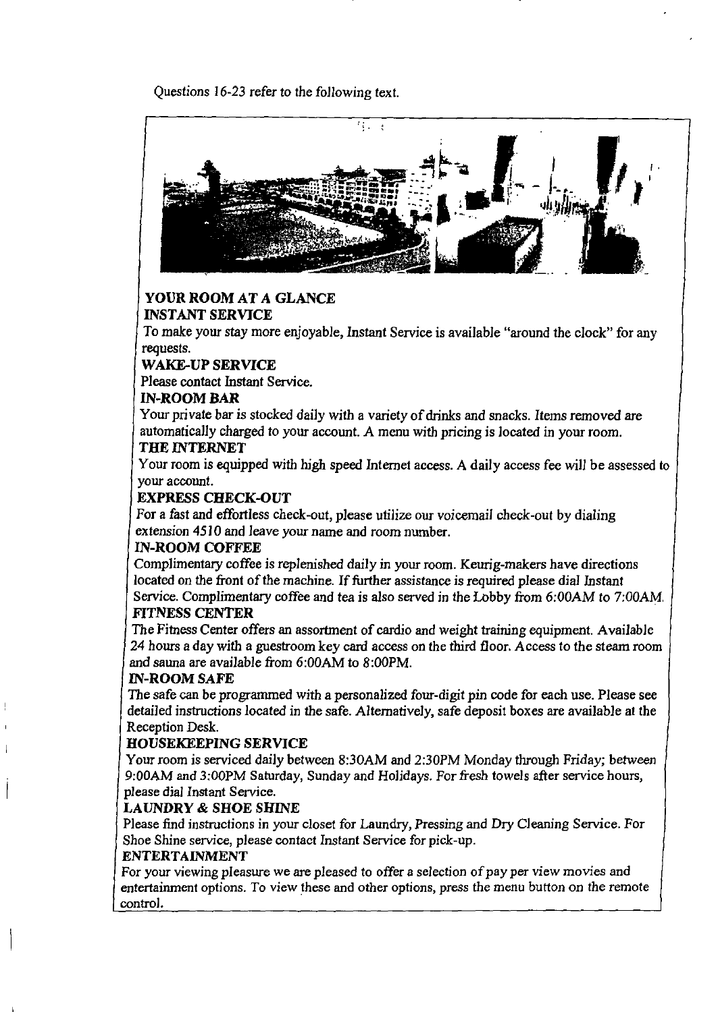Questions 16-23 *refer* to the foliowing text.



## **YOUR ROOM AT A GLANCE**

## INSTANT SER VICE

**To** make your stay **more enjoyable,** lnstant **Service is available "around the clock" for** any **rcçuests.** 

## **WAKE-UP SER VICE**

**Please contact** Instant **Service.** 

## **IN-ROOM** BAR

**Your privafe** bar **is stocked daily with a** variety **of** drinks and **snacks. Items removed** are automatically charged to your account. A menu with pricing is located in your room. THE INTERNET

# **Your room is** equipped with high speed Internet access. *A.* daily **access** fee will **be** assessed **to**

#### your aceount. **EXPRESS CHECK-OUT**

**For a** fast and **effortless cheek-out, please utilize** our **voicemail check-out by dialing extension 4510** and **leave your** name and **room number.** 

## İ**N-ROOM COFFEE**

Complimentary coffee is replenished daily in your room. Keurig-makers have directions located on the front of the machine. If further assistance is required please dial Instant Service. Complimentary coffee and tea is also served in the Lobby from 6:00AM to 7:00AM. *FITNESS* CENTER

The Fitness Center offers an *assortment* of cardio and weight training equipment. **Available**  24 hours a day with **a guestroom key** card access on the third floor. Access to the steanı room **and satma** are *available from* **6:00AM to 8:00PM.** 

## **IN-ROOM SAFE**

The safe can be progranınıed **with a personalized four-digit** pin **code for each use. Please see detailed instructions located in** the **safe. Aiternatively, safe deposit boxes** are **available al the Reception** Desk.

## **HOUSEKEEPING SERVICE**

**Your room is serviced daily between 8:30AM** and **2:30PM Monday** through Friday; between **9:00AM** and **3:00PM Saturday, Sunday** and **Holidays. For fresh towels after service hours, please dial** lnstant **Service.** 

## **LAUNDRY** a **SHOE SE**İ**NE**

Please find instructions in your closet for Laundry, Pressing and Dry Cleaning Service. For Shoe Shine service, please contact Instant Service for pick-up.

## **ENTERTAINMENT**

**For your viewing pleasure we** are **pleased to offer a selection of pay per view movies** and **entertainment options. To view these** and **other options, press the menü button on the remote control.**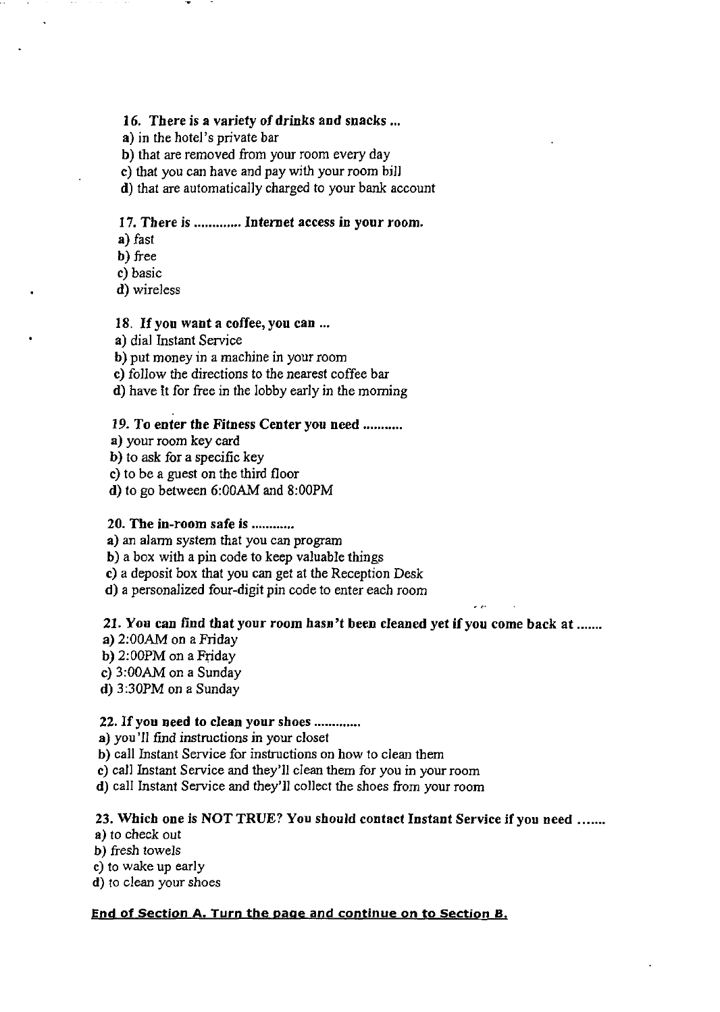#### 16. There is a variety of drinks and snacks ...

- a) in the hotel's private bar
- b) that are removed from your room every day
- e) that you can have and pay with your room bi1J
- d) that are automatically charged to your bank account

#### 17. There is ............. Internet access in your room.

a) fast

b) free

e) basic

d) wireless

#### 18. If you want a coffee, you can ...

a) dial Instant Service

b) put money in a machine in your room

- e) follow the directions to the nearest coffee bar
- d) have it for free in the lobby early in the morning

#### 19. To enter the Fitness Center you need ..........

a) your room key card

b) to ask for a specifıc key

c) to be a guest on the third floor

d) to go between 6:00AM and 8:00PM

#### 20. The in-room safe is

a) an alarm system that you can program

b) a box with a pin code to keep valuable things

c) a deposit box that you can get at the Reception Desk

d) a personalized four-digit pin code to enter each room

#### 21. You can find that your room hasn't been cleaned yet if you come back at .......

a) 2:00AM on a Friday

b) 2:00PM on a Friday

c) 3:00AM on a Sunday

d) 3:30PM on a Sunday

#### 22. If you need to clean your shoes .............

a) you '1] find instructions in your closet

b) call Instant Service for instructions on how to clean them

e) cal] Instant Service and they'll clean thern for you in your room

d) cali Instant Service and they'll collect the shoes from your room

#### 23. Which one is NOT TRUE? You should contact Instant Service if you need .......

a) to check out

b) fresh towels

c) to wake up early

d) to cican your shoes

#### **End of Section A. Turn the paae and continue on to Section 8.**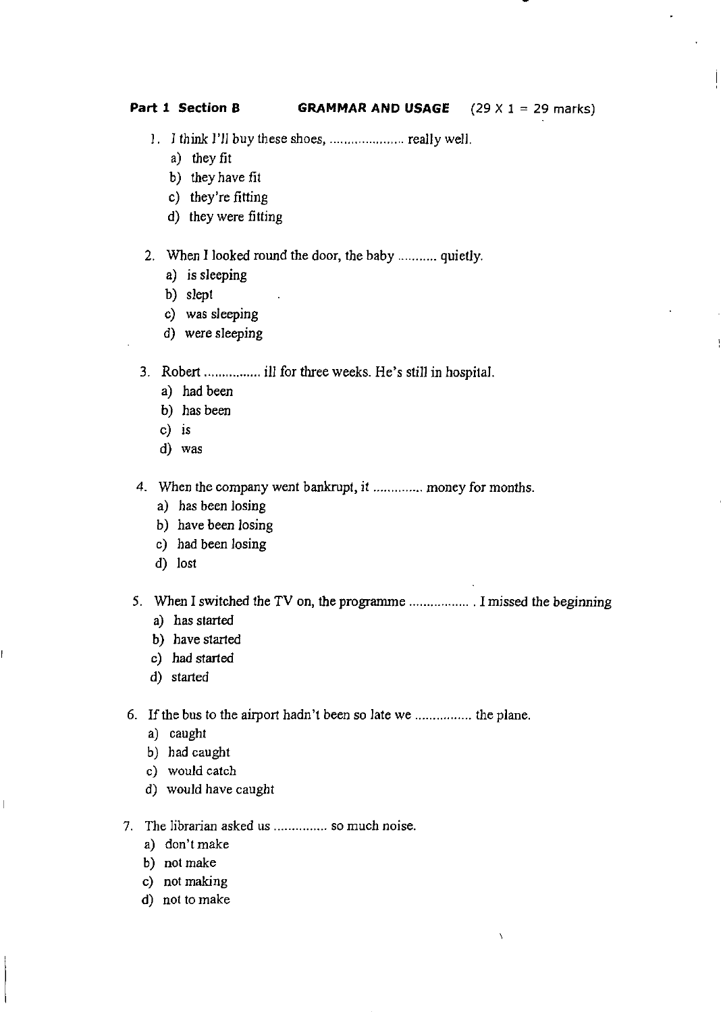## **Part 1 Section B GRAMMAR AND USAGE** (29 X 1 = 29 marks)

- 1. I think I'll buy these shoes, ....................... really well.
	- a) they fit
	- b) they have fit
	- c) they're fitting
	- d) they were fitting
- 2. When I looked round the door, the baby ........... quietly.
	- a) is sleeping
	- b) siept
	- e) was sieeping
	- d) *were* sleeping
- 3. Robert ................. ill for three weeks. He's still in hospital.
	- a) had been
	- b) has been
	- c) is
	- d) was
- 4. When the company went bankrupt, it .............. money for months.
	- a) has been losing
	- b) have been losing
	- e) had been losing
	- d) lost
- 5. When I switched the TV on, the programme .................. I missed the beginning

 $\lambda$ 

- a) has started
- b) have started
- c) had started
- d) started
- 6. If the bus to the airport hadn't been so late we ................ the plane.
	- a) caught
	- b) had caught
	- e) would catch
	- d) would have caught
- 7. The librarian asked us ............... so much noise.
	- a) don'tmake
	- b) not make
	- e) not making
	- d) not to make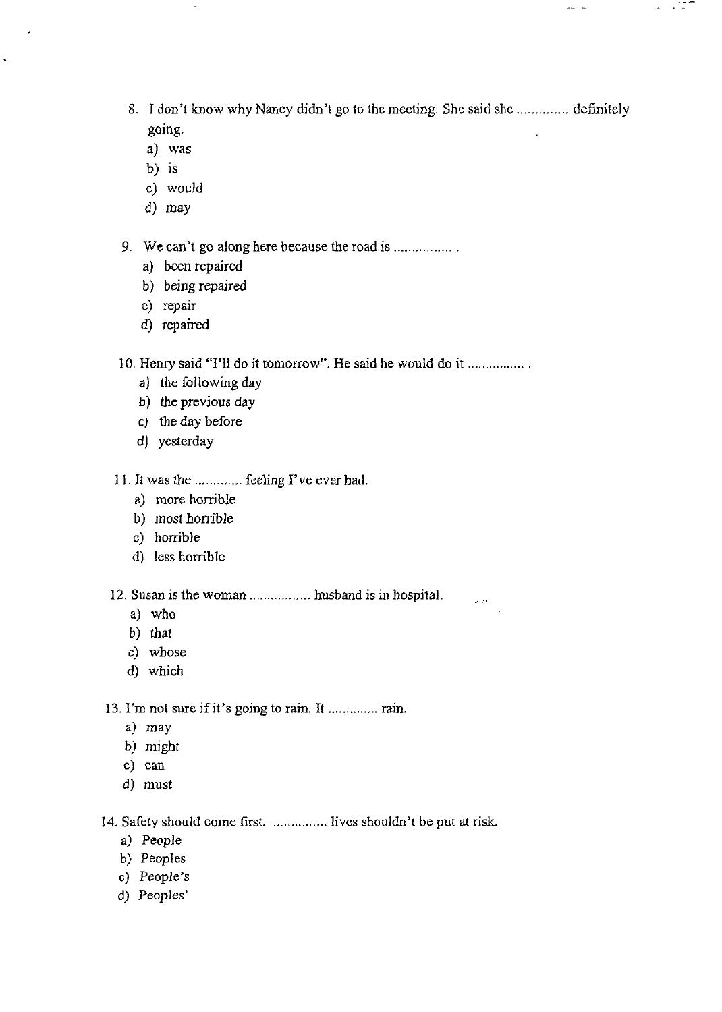8. I don't know why Nancy didn't go to the meeting. She said she .............. definitely going.

 $\hat{\mathcal{L}}(\mathcal{D})$ 

 $\omega = \omega$ 

- a) was
- b) is
- e) woujd
- d) may
- 9. We can't go along here because the road is .................
	- a) been repaired
	- b) being repaired
	- e) repair
	- *d)* repaired
- 10. Henry said "1'll do it tomorrow". He said he would do it
	- a) the foliowing day
	- *b) the* previous day
	- $c)$  the day before
	- d) yesterday
- 11. It was the ............. feeling I've ever had.
	- a) more horrible
	- b) most horrible
	- e) horrible
	- d) less horrible

12. Susan is the woman ................. husband is in hospital.

- a) who
- *b) that*
- e) whose
- d) which

13. I'm not sure if it's going to rain. It .............. rain.

- *a) may*
- b) migbt
- c) can
- d) must

14. Safety should come first. ............... lives shouldn't be put at risk.

- a) People
- b) Peoples
- e) People's
- d) Peoples'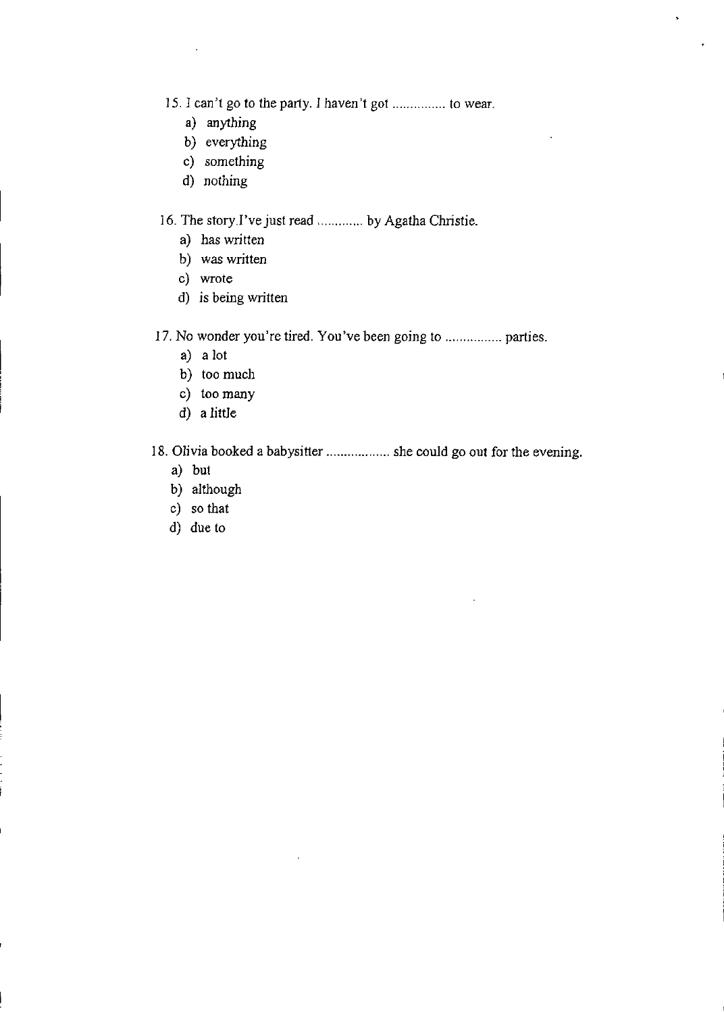- 15. I can't go to the party. I haven't got ............... to wear.
	- a) anything
	- b) everything
	- c) something
	- d) nothing

## 16. The story I've just read ............. by Agatha Christie.

- a) has written
- *b) was* written
- e) wrote
- d) is being written
- 17. No wonder you're tired. You've been going to ................ parties.
	- a) alot
	- b) too much
	- c) too many
	- d) alittle
- 18. Olivia booked a babysitter ................... she could go out for the evening.
	- a) but
	- b) although
	- e) so that
	- d) due to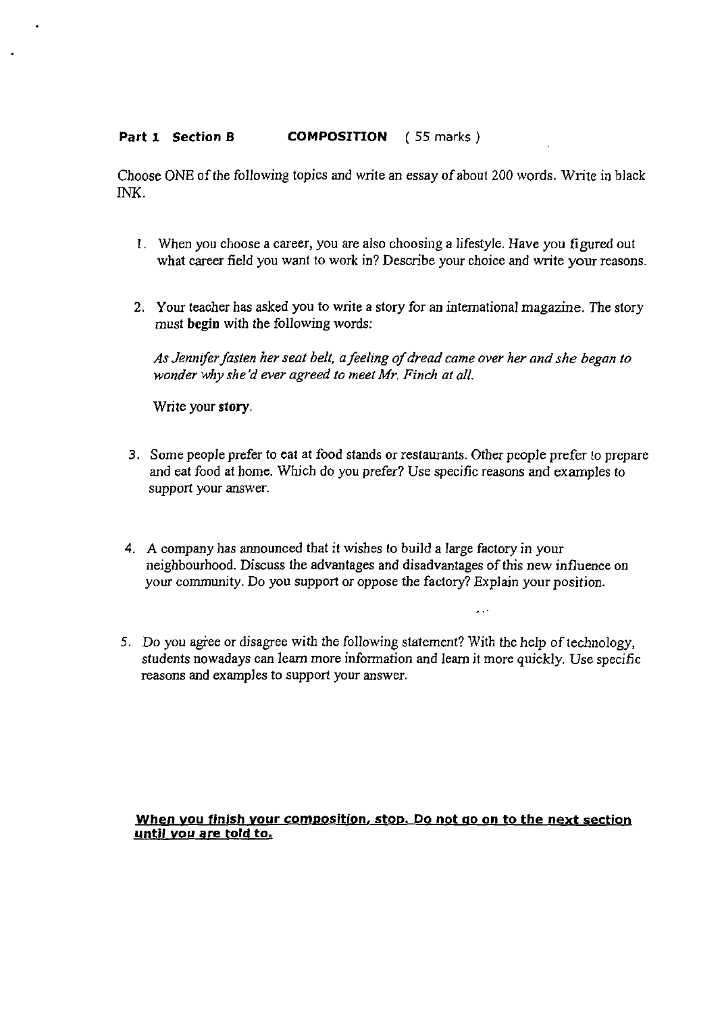#### **Part 1 Section B COMPOSITION** (55 marks)

Choose ONE of the following topics and write an essay of about 200 words. Write in black **INK.** 

- 1. When you choose a career, you are also choosing a lifestyle. Have you figured out what career field you want to work in? Describe your choice and write your reasons.
- 2. Your teacher has asked you to write a story for an international magazine. The story must **begin** with the foliowing words:

As Jennifer fasten her seat belt, a feeling of dread came over her and she began to *wonder why she'd ever agreed to meet Mr. Finch at all.* 

Write your story.

- 3. Some people prefer to eat at food stands or restaurants. Other people prefer to prepare and eat food at home. Which do you prefer? Use specific reasons and examples to support your answer.
- 4. A company has announced that it wishes to build a large factory in your neighbourhood. Discuss the advantages and disadvantages of this new influence on your community. Do you support or oppose the factory? Explain your position.
- 5. Do you agree or disagree with the following statement? With the help of technology, students nowadays can leam more information and learu it more quickly. Use specific reasons and exampies to support your answer.

#### When you finish your composition, stop. Do not go on to the next section **until you are told to.**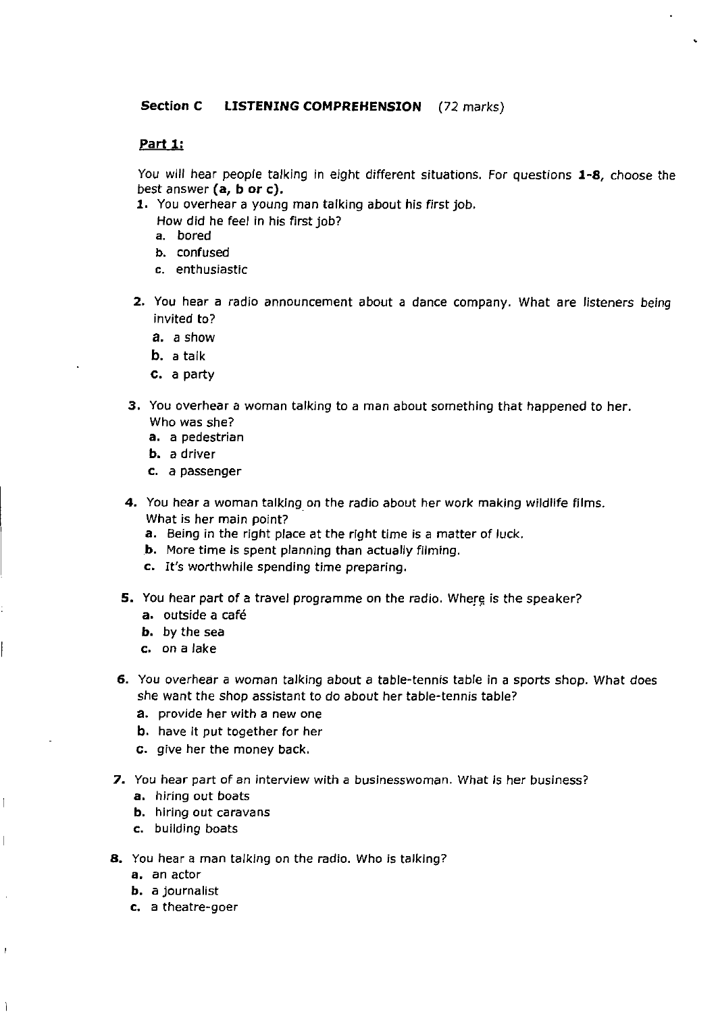#### **Section C LISTENING COMPREHENSION** (72 marks)

#### **Part 1:**

You will hear people talking in eight different situations. For questions **1-8,** choose the best answer (a, b or c).

- 1. You overhear a young man talking about his first job. How did he feel in his first job?
	- a. bored
	- b. confused
	- c. enthusiastic
- **2.** You hear a radio announcement about a dance company. What are listeners being invited to?
	- $a. a show$
	- b. a taik
	- C. a party
- **3.** You overhear a woman talking to a man about something that happened to her. Who was she?
	- a. a pedestrian
	- b. a driver
	- c. a passenger
- 4. You hear a woman talking on the radio about her work making wildlife films. What is her main point?
	- a. Being in the right place at the right time is a matter of luck.
	- b. More time is spent planning than actually filming.
	- c. It's worthwhile spending time preparing.
- 5. You hear part of a travel programme on the radio. Where is the speaker?
	- a. outside a caf
	- b. by the sea
	- c. on a lake
- 6. You overhear a woman talking about a table-tennis table in a sports shop. What does she want the shop assistant to do about her table-tennis table?
	- a. provide her with a new one
	- b. have it put together for her
	- c. give her the money back.
- **7.** You hear part of an interview with a businesswoman. What is her business?
	- a. hiring out boats
	- b. hiring out caravans
	- c. building boats
- 8. You hear a man talking on the radio. Who is talking?
	- a. an actor

 $\overline{1}$ 

 $\overline{\phantom{a}}$ 

 $\bar{I}$ 

- b. a journalist
- c. a theatre-goer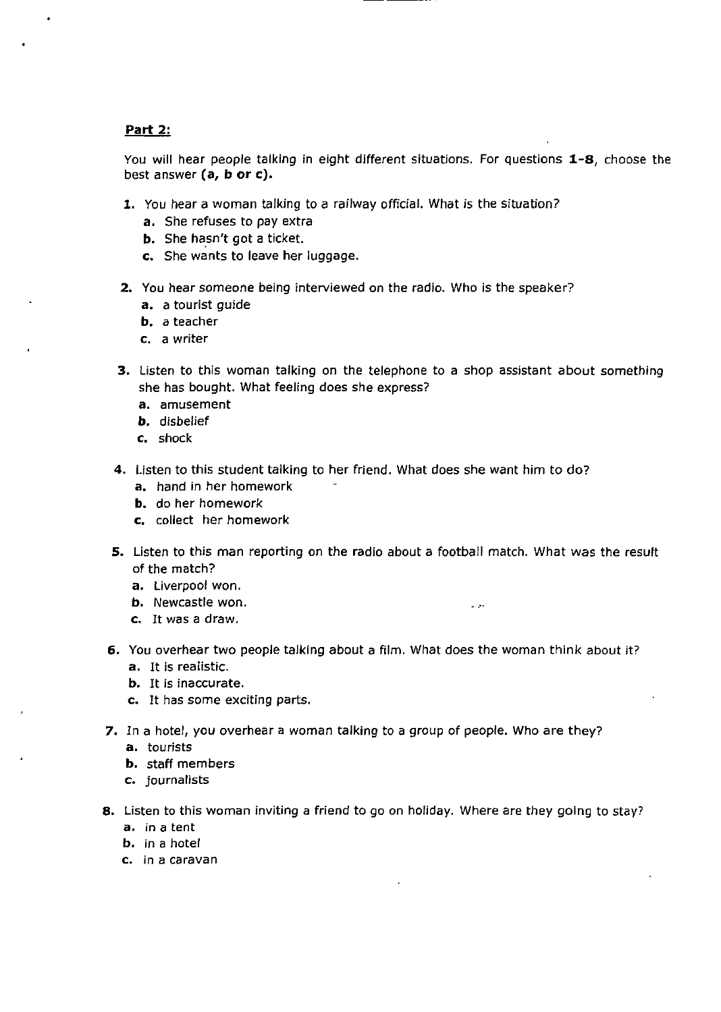#### Part **2:**

You wiil hear people taking in eight different situations. For questions **1-8,** choose the best answer ( $a$ ,  $b$  or  $c$ ).

- 1. You hear a woman talking to a railway official. What is the situation?
	- a. She refuses to pay extra
	- b. She hasn't got a ticket.
	- c. She wants to leave her luggage.
- 2. You hear someone being interviewed on the radio. Who is the speaker?
	- a. a tourist guide
	- b. a teacher
	- c. a writer
- **3.** Listen to this woman talking on the telephone to a shop assistant about something she has bought. What feeling does she express?
	- a. amusement
	- b. disbelief
	- c. shock
- 4. Listen to this student talking to her friend. Vhat does she want him to do?
	- a. hand in her homework
	- b. do her homework
	- c. collect her homework
- **5.** Listen to this man reporting on the radio about a football match. What was the result of the match?

ووا د

- a. Liverpool won.
- b. Newcastle won.
- c. İt was a draw.
- 6. You overhear two people talking about a film. What does the woman think about it?
	- a. İt is realistic.
	- b. It is inaccurate.
	- c. It has some exciting parts.
- **7.** In a hotel, you overhear a woman talking to a group of people. Who are they?
	- a. tourists
	- b. staff members
	- c. journalists
- 8. Listen to this woman inviting a friend to go on holiday. Where are they golng to stay?
	- a. in a tent
	- b. in a hotel
	- c. in a caravan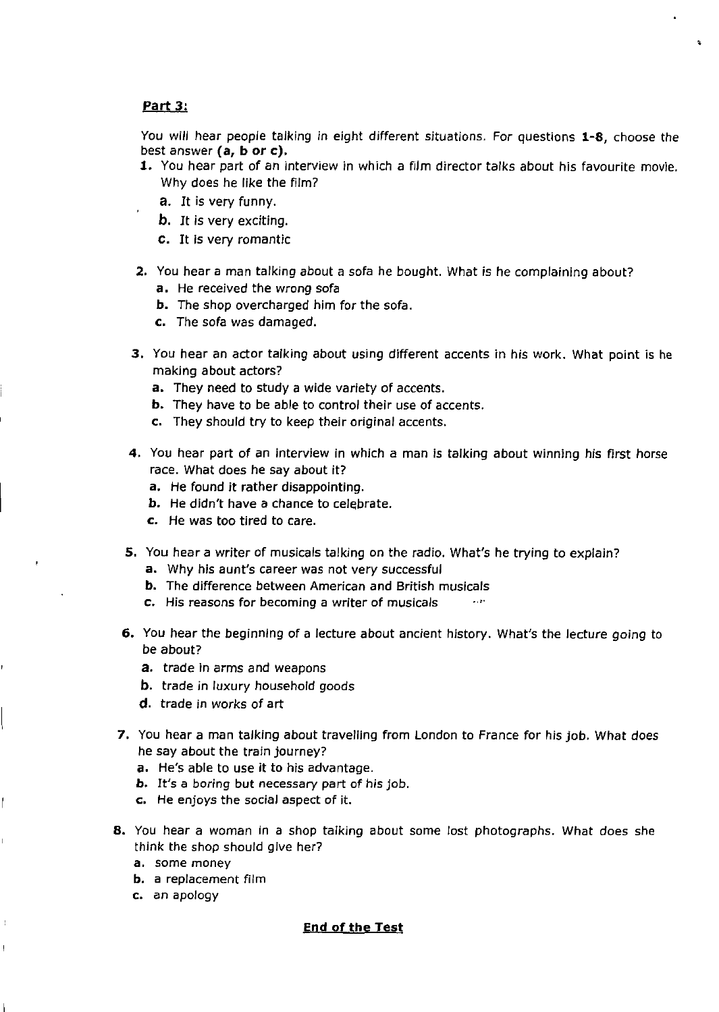#### *Part* **3:**

You will hear people talking in eight different situations. For questions 1-8, choose the best answer (a, b or c).

- 1. You hear part of an interview in which a film director talks about his favourite mov)e. Why does he like the film?
	- a. It is very funny.
	- **b.** It is very exciting.
	- c. it Is very romantic
- 2. You hear a man talking about a sofa hc bought. What is he compiaining about?
	- a. He received the wrong sofa
	- b. The shop overcharged him for the sofa.
	- c. The sofa was damaged.
- **3.** You hear an actor talking about using different accents in his work. What point is he making about actors?
	- a. They need to study a wide variety of accents.
	- b. They have to be able to control their use of accents.
	- c. They shouid try to keep their original accents.
- 4. You hear part of an interview in which a man is talking about winning his first horse race. What does he say about it?
	- a. He found it rather disappointing.
	- b. He didn't have a chance to celebrate.
	- c. He was toc tired to care.
- **5.** You hear a writer of musicals talking on the radio. What's he trying to expiain?
	- a. Why his aunt's career was not very successful
	- b. The difference between American and British musicals
	- c. His reasons for becoming a writer of musicals
- 6. You hear the beginning of a lecture about ancient history. What's the lecture going to be about?
	- a. trade in arms and weapons
	- b. trade in luxury household goods
	- d. trade in works of art
- **7.** You hear a man taiking about travelling from London to France for his job, What does he say about the train journey?
	- a. He's able to use it to his advantage.
	- b. It's a boring but necessary part of his job.
	- c. He enjoys the social aspect of it.
- 8. You hear a woman in a shop talking about some lost photographs. What does she think the shop should give her?
	- a. some money

ľ

- b. a repiacement film
- c. an apology

#### End of the Test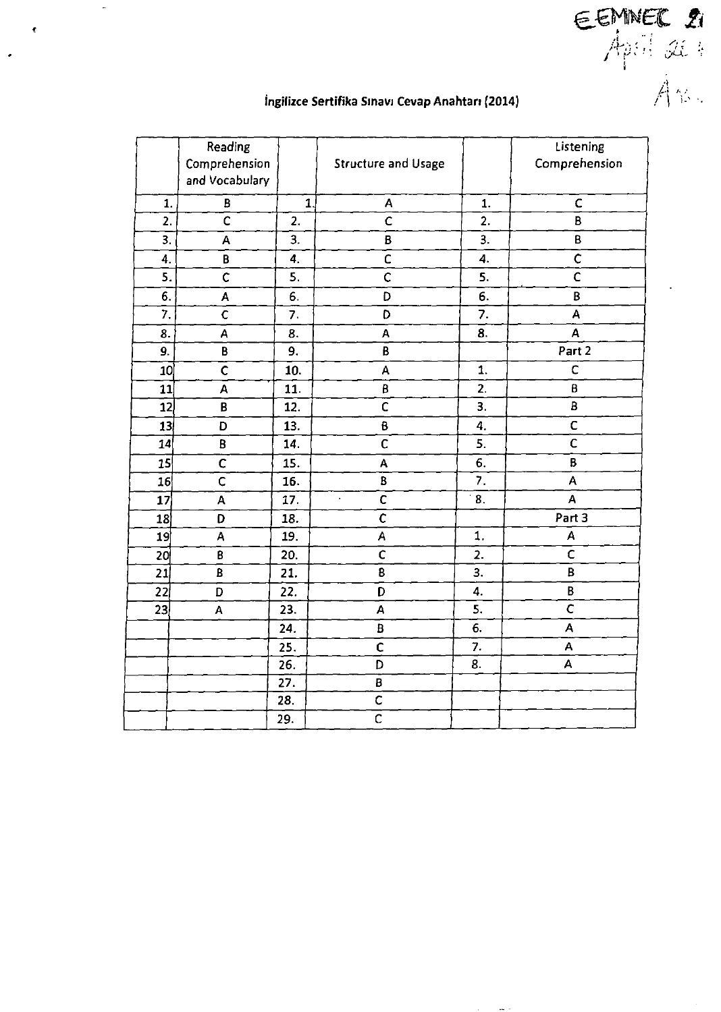$\mathbf{z}_i$ Apill, sti

## İngilizce Sertifika Sınavı Cevap Anahtarı (2014)

 $\overline{a}$ 

¢

|                 | Reading<br>Comprehension<br>and Vocabulary |     | <b>Structure and Usage</b> |                  | Listening<br>Comprehension |
|-----------------|--------------------------------------------|-----|----------------------------|------------------|----------------------------|
| 1.              | B                                          | 1.  | A                          | 1.               | $\mathsf{C}$               |
| 2.              | c                                          | 2.  | Ċ                          | $\overline{2}$ . | B                          |
| 3.              | A                                          | 3.  | B                          | 3.               | B                          |
| 4.              | B                                          | 4.  | Ċ                          | 4.               | $\mathsf{C}$               |
| 5.              | $\overline{c}$                             | 5.  | $\mathsf{C}$               | 5.               | $\mathsf{C}$               |
| 6.              | A                                          | 6.  | D                          | 6.               | B                          |
| 7.              | $\overline{c}$                             | 7.  | D                          | 7.               | A                          |
| 8.              | A                                          | 8.  | A                          | 8.               | A                          |
| 9.              | B                                          | 9.  | B                          |                  | Part 2                     |
| 10              | $\mathsf{C}$                               | 10. | A                          | $\mathbf{1}$ .   | $\mathsf{C}$               |
| 11              | $\mathbf{A}$                               | 11. | B                          | 2.               | B                          |
| $\overline{1}2$ | B                                          | 12. | $\mathsf{C}$               | 3.               | B                          |
| 13              | D                                          | 13. | B                          | 4.               | $\mathsf{C}$               |
| 14              | B                                          | 14. | $\mathsf{C}$               | 5.               | Ċ                          |
| 15              | $\overline{\mathsf{C}}$                    | 15. | A                          | 6.               | B                          |
| 16              | Ċ                                          | 16. | B                          | $\overline{7}$ . | A                          |
| 17              | A                                          | 17. | $\mathbf C$                | 8.               | A                          |
| 18              | D                                          | 18. | C                          |                  | Part 3                     |
| 19 <sup>′</sup> | A                                          | 19. | А                          | 1.               | A                          |
| 20              | B                                          | 20. | C                          | $\overline{2}$ . | $\mathsf{C}$               |
| 21              | B                                          | 21. | 8                          | 3.               | B                          |
| 22              | D                                          | 22. | D                          | 4.               | B                          |
| $\overline{23}$ | A                                          | 23. | A                          | 5.               | $\overline{\mathsf{c}}$    |
|                 |                                            | 24. | B                          | 6.               | A                          |
|                 |                                            | 25. | C                          | 7.               | A                          |
|                 |                                            | 26. | D                          | 8.               | А                          |
|                 |                                            | 27. | B                          |                  |                            |
|                 |                                            | 28. | $\mathsf{C}$               |                  |                            |
|                 |                                            | 29. | $\overline{\mathsf{c}}$    |                  |                            |